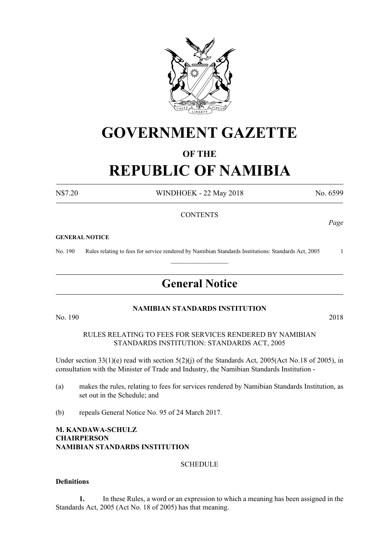

# **GOVERNMENT GAZETTE**

# **OF THE**

# **REPUBLIC OF NAMIBIA**

N\$7.20 WINDHOEK - 22 May 2018 No. 6599

#### **CONTENTS**

#### **GENERAL NOTICE**

No. 190 Rules relating to fees for service rendered by Namibian Standards Institutions: Standards Act, 2005 1

# **General Notice**

 $\frac{1}{2}$ 

#### **NAMIBIAN STANDARDS INSTITUTION**

No. 190 2018

RULES RELATING TO FEES FOR SERVICES RENDERED BY NAMIBIAN STANDARDS INSTITUTION: STANDARDS ACT, 2005

Under section 33(1)(e) read with section 5(2)(j) of the Standards Act, 2005(Act No.18 of 2005), in consultation with the Minister of Trade and Industry, the Namibian Standards Institution -

- (a) makes the rules, relating to fees for services rendered by Namibian Standards Institution, as set out in the Schedule; and
- (b) repeals General Notice No. 95 of 24 March 2017.

#### **M. KANDAWA-SCHULZ CHAIRPERSON NAMIBIAN STANDARDS INSTITUTION**

#### **SCHEDULE**

#### **Definitions**

**1.** In these Rules, a word or an expression to which a meaning has been assigned in the Standards Act, 2005 (Act No. 18 of 2005) has that meaning.

*Page*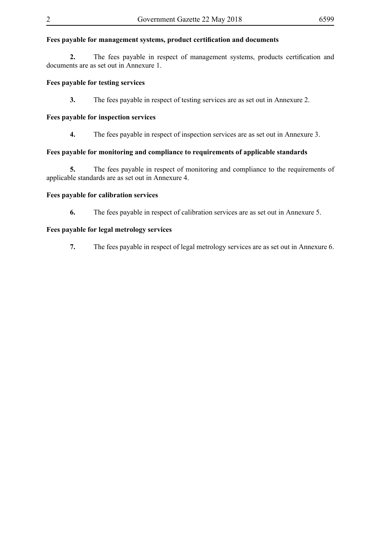# **Fees payable for management systems, product certification and documents**

**2.** The fees payable in respect of management systems, products certification and documents are as set out in Annexure 1.

#### **Fees payable for testing services**

**3.** The fees payable in respect of testing services are as set out in Annexure 2.

#### **Fees payable for inspection services**

**4.** The fees payable in respect of inspection services are as set out in Annexure 3.

#### **Fees payable for monitoring and compliance to requirements of applicable standards**

**5.** The fees payable in respect of monitoring and compliance to the requirements of applicable standards are as set out in Annexure 4.

#### **Fees payable for calibration services**

**6.** The fees payable in respect of calibration services are as set out in Annexure 5.

#### **Fees payable for legal metrology services**

**7.** The fees payable in respect of legal metrology services are as set out in Annexure 6.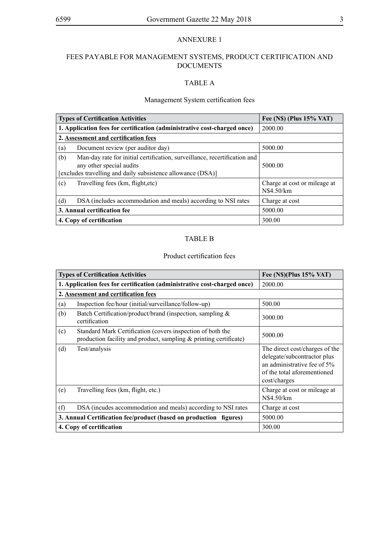# FEES PAYABLE FOR MANAGEMENT SYSTEMS, PRODUCT CERTIFICATION AND DOCUMENTS

### TABLE A

#### Management System certification fees

| <b>Types of Certification Activities</b>                                                                                                                                    | Fee (N\$) (Plus 15% VAT)                   |
|-----------------------------------------------------------------------------------------------------------------------------------------------------------------------------|--------------------------------------------|
| 1. Application fees for certification (administrative cost-charged once)                                                                                                    | 2000.00                                    |
| 2. Assessment and certification fees                                                                                                                                        |                                            |
| Document review (per auditor day)<br>(a)                                                                                                                                    | 5000.00                                    |
| (b)<br>Man-day rate for initial certification, surveillance, recertification and<br>any other special audits<br>[excludes travelling and daily subsistence allowance (DSA)] | 5000.00                                    |
| (c)<br>Travelling fees (km, flight, etc)                                                                                                                                    | Charge at cost or mileage at<br>N\$4.50/km |
| (d)<br>DSA (includes accommodation and meals) according to NSI rates                                                                                                        | Charge at cost                             |
| 3. Annual certification fee                                                                                                                                                 | 5000.00                                    |
| 4. Copy of certification                                                                                                                                                    | 300.00                                     |

#### TABLE B

#### Product certification fees

|     | <b>Types of Certification Activities</b>                                                                                        | Fee $(N\$ )(Plus 15% VAT)                                                                                                                   |
|-----|---------------------------------------------------------------------------------------------------------------------------------|---------------------------------------------------------------------------------------------------------------------------------------------|
|     | 1. Application fees for certification (administrative cost-charged once)                                                        | 2000.00                                                                                                                                     |
|     | 2. Assessment and certification fees                                                                                            |                                                                                                                                             |
| (a) | Inspection fee/hour (initial/surveillance/follow-up)                                                                            | 500.00                                                                                                                                      |
| (b) | Batch Certification/product/brand (inspection, sampling &<br>certification                                                      | 3000.00                                                                                                                                     |
| (c) | Standard Mark Certification (covers inspection of both the<br>production facility and product, sampling & printing certificate) | 5000.00                                                                                                                                     |
| (d) | Test/analysis                                                                                                                   | The direct cost/charges of the<br>delegate/subcontractor plus<br>an administrative fee of 5%<br>of the total aforementioned<br>cost/charges |
| (e) | Travelling fees (km, flight, etc.)                                                                                              | Charge at cost or mileage at<br>N\$4.50/km                                                                                                  |
| (f) | DSA (incudes accommodation and meals) according to NSI rates                                                                    | Charge at cost                                                                                                                              |
|     | 3. Annual Certification fee/product (based on production figures)                                                               | 5000.00                                                                                                                                     |
|     | 4. Copy of certification                                                                                                        | 300.00                                                                                                                                      |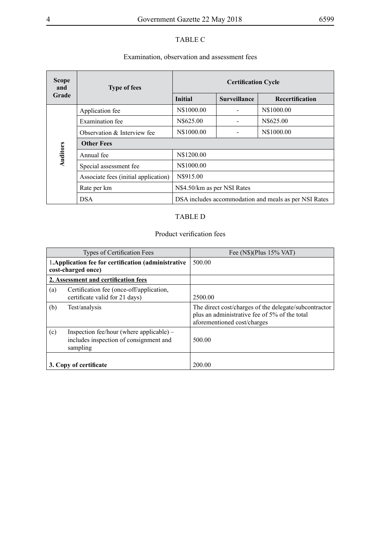# TABLE C

# Examination, observation and assessment fees

| <b>Scope</b><br>and | <b>Type of fees</b>                  | <b>Certification Cycle</b>                            |                     |                 |
|---------------------|--------------------------------------|-------------------------------------------------------|---------------------|-----------------|
| Grade               |                                      | <b>Initial</b>                                        | <b>Surveillance</b> | Recertification |
|                     | Application fee                      | N\$1000.00                                            |                     | N\$1000.00      |
|                     | Examination fee                      | N\$625.00                                             |                     | N\$625.00       |
|                     | Observation & Interview fee          | N\$1000.00                                            |                     | N\$1000.00      |
|                     | <b>Other Fees</b>                    |                                                       |                     |                 |
| Auditors            | Annual fee                           | N\$1200.00                                            |                     |                 |
|                     | Special assessment fee               | N\$1000.00                                            |                     |                 |
|                     | Associate fees (initial application) | N\$915.00                                             |                     |                 |
|                     | Rate per km                          | N\$4.50/km as per NSI Rates                           |                     |                 |
|                     | <b>DSA</b>                           | DSA includes accommodation and meals as per NSI Rates |                     |                 |

# TABLE D

# Product verification fees

|     | <b>Types of Certification Fees</b>                                                               | Fee $(N\$ )(Plus 15% VAT)                                                                                                             |
|-----|--------------------------------------------------------------------------------------------------|---------------------------------------------------------------------------------------------------------------------------------------|
|     | 1. Application fee for certification (administrative<br>cost-charged once)                       | 500.00                                                                                                                                |
|     | 2. Assessment and certification fees                                                             |                                                                                                                                       |
| (a) | Certification fee (once-off/application,<br>certificate valid for 21 days)                       | 2500.00                                                                                                                               |
| (b) | Test/analysis                                                                                    | The direct cost/charges of the delegate/subcontractor<br>plus an administrative fee of 5% of the total<br>aforementioned cost/charges |
| (c) | Inspection fee/hour (where applicable) $-$<br>includes inspection of consignment and<br>sampling | 500.00                                                                                                                                |
|     | 3. Copy of certificate                                                                           | 200.00                                                                                                                                |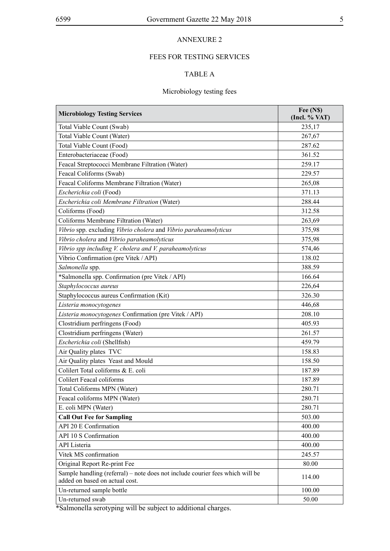# FEES FOR TESTING SERVICES

# TABLE A

# Microbiology testing fees

| <b>Microbiology Testing Services</b>                                                                            | Fee (N\$)<br>(Incl. % VAT) |
|-----------------------------------------------------------------------------------------------------------------|----------------------------|
| Total Viable Count (Swab)                                                                                       | 235,17                     |
| Total Viable Count (Water)                                                                                      | 267,67                     |
| Total Viable Count (Food)                                                                                       | 287.62                     |
| Enterobacteriaceae (Food)                                                                                       | 361.52                     |
| Feacal Streptococci Membrane Filtration (Water)                                                                 | 259.17                     |
| Feacal Coliforms (Swab)                                                                                         | 229.57                     |
| Feacal Coliforms Membrane Filtration (Water)                                                                    | 265,08                     |
| Escherichia coli (Food)                                                                                         | 371.13                     |
| Escherichia coli Membrane Filtration (Water)                                                                    | 288.44                     |
| Coliforms (Food)                                                                                                | 312.58                     |
| Coliforms Membrane Filtration (Water)                                                                           | 263,69                     |
| Vibrio spp. excluding Vibrio cholera and Vibrio paraheamolyticus                                                | 375,98                     |
| Vibrio cholera and Vibrio paraheamolyticus                                                                      | 375,98                     |
| Vibrio spp including V. cholera and V. paraheamolyticus                                                         | 574,46                     |
| Vibrio Confirmation (pre Vitek / API)                                                                           | 138.02                     |
| Salmonella spp.                                                                                                 | 388.59                     |
| *Salmonella spp. Confirmation (pre Vitek / API)                                                                 | 166.64                     |
| Staphylococcus aureus                                                                                           | 226,64                     |
| Staphylococcus aureus Confirmation (Kit)                                                                        | 326.30                     |
| Listeria monocytogenes                                                                                          | 446,68                     |
| Listeria monocytogenes Confirmation (pre Vitek / API)                                                           | 208.10                     |
| Clostridium perfringens (Food)                                                                                  | 405.93                     |
| Clostridium perfringens (Water)                                                                                 | 261.57                     |
| Escherichia coli (Shellfish)                                                                                    | 459.79                     |
| Air Quality plates TVC                                                                                          | 158.83                     |
| Air Quality plates Yeast and Mould                                                                              | 158.50                     |
| Colilert Total coliforms & E. coli                                                                              | 187.89                     |
| <b>Colilert Feacal coliforms</b>                                                                                | 187.89                     |
| Total Coliforms MPN (Water)                                                                                     | 280.71                     |
| Feacal coliforms MPN (Water)                                                                                    | 280.71                     |
| E. coli MPN (Water)                                                                                             | 280.71                     |
| <b>Call Out Fee for Sampling</b>                                                                                | 503.00                     |
| API 20 E Confirmation                                                                                           | 400.00                     |
| API 10 S Confirmation                                                                                           | 400.00                     |
| <b>API</b> Listeria                                                                                             | 400.00                     |
| Vitek MS confirmation                                                                                           | 245.57                     |
| Original Report Re-print Fee                                                                                    | 80.00                      |
| Sample handling (referral) – note does not include courier fees which will be<br>added on based on actual cost. | 114.00                     |
| Un-returned sample bottle                                                                                       | 100.00                     |
| Un-returned swab                                                                                                | 50.00                      |

\*Salmonella serotyping will be subject to additional charges.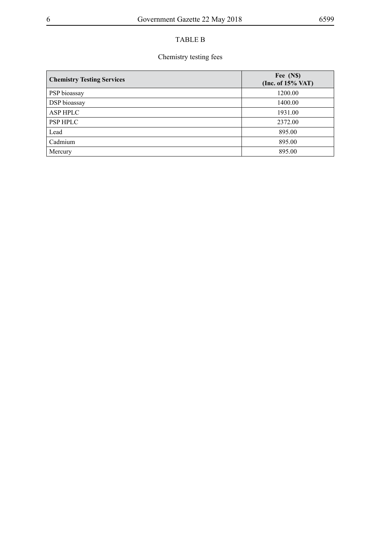# TABLE B

# Chemistry testing fees

| <b>Chemistry Testing Services</b> | Fee (N\$)<br>(Inc. of $15\%$ VAT) |
|-----------------------------------|-----------------------------------|
| PSP bioassay                      | 1200.00                           |
| DSP bioassay                      | 1400.00                           |
| <b>ASP HPLC</b>                   | 1931.00                           |
| <b>PSP HPLC</b>                   | 2372.00                           |
| Lead                              | 895.00                            |
| Cadmium                           | 895.00                            |
| Mercury                           | 895.00                            |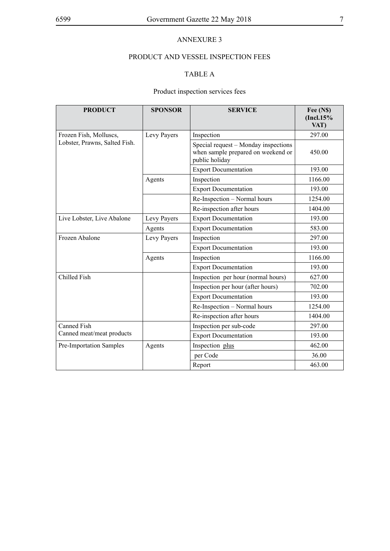# PRODUCT AND VESSEL INSPECTION FEES

# TABLE A

# Product inspection services fees

| <b>PRODUCT</b>                              | <b>SPONSOR</b> | <b>SERVICE</b>                                                                               | Fee (N\$)<br>(Incl.15%<br>VAT) |
|---------------------------------------------|----------------|----------------------------------------------------------------------------------------------|--------------------------------|
| Frozen Fish, Molluscs,                      | Levy Payers    | Inspection                                                                                   | 297.00                         |
| Lobster, Prawns, Salted Fish.               |                | Special request – Monday inspections<br>when sample prepared on weekend or<br>public holiday | 450.00                         |
|                                             |                | <b>Export Documentation</b>                                                                  | 193.00                         |
|                                             | Agents         | Inspection                                                                                   | 1166.00                        |
|                                             |                | <b>Export Documentation</b>                                                                  | 193.00                         |
|                                             |                | Re-Inspection - Normal hours                                                                 | 1254.00                        |
|                                             |                | Re-inspection after hours                                                                    | 1404.00                        |
| Live Lobster, Live Abalone                  | Levy Payers    | <b>Export Documentation</b>                                                                  | 193.00                         |
|                                             | Agents         | <b>Export Documentation</b>                                                                  | 583.00                         |
| Frozen Abalone<br>Inspection<br>Levy Payers |                | 297.00                                                                                       |                                |
|                                             |                | <b>Export Documentation</b>                                                                  | 193.00                         |
|                                             | Agents         | Inspection                                                                                   | 1166.00                        |
|                                             |                | <b>Export Documentation</b>                                                                  | 193.00                         |
| Chilled Fish                                |                | Inspection per hour (normal hours)                                                           | 627.00                         |
|                                             |                | Inspection per hour (after hours)                                                            | 702.00                         |
|                                             |                | <b>Export Documentation</b>                                                                  | 193.00                         |
|                                             |                | Re-Inspection - Normal hours                                                                 | 1254.00                        |
|                                             |                | Re-inspection after hours                                                                    | 1404.00                        |
| <b>Canned Fish</b>                          |                | Inspection per sub-code                                                                      | 297.00                         |
| Canned meat/meat products                   |                | <b>Export Documentation</b>                                                                  | 193.00                         |
| Pre-Importation Samples                     | Agents         | Inspection plus                                                                              | 462.00                         |
|                                             |                | per Code                                                                                     | 36.00                          |
|                                             |                | Report                                                                                       | 463.00                         |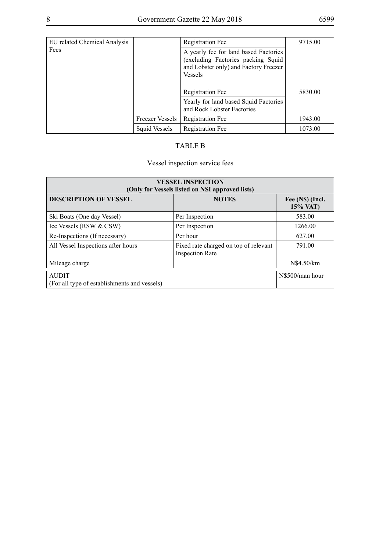| <b>EU</b> related Chemical Analysis |                        | <b>Registration Fee</b>                                                                                                                | 9715.00 |
|-------------------------------------|------------------------|----------------------------------------------------------------------------------------------------------------------------------------|---------|
| Fees                                |                        | A yearly fee for land based Factories<br>(excluding Factories packing Squid<br>and Lobster only) and Factory Freezer<br><b>Vessels</b> |         |
|                                     |                        | <b>Registration Fee</b>                                                                                                                | 5830.00 |
|                                     |                        | Yearly for land based Squid Factories<br>and Rock Lobster Factories                                                                    |         |
|                                     | <b>Freezer Vessels</b> | <b>Registration Fee</b>                                                                                                                | 1943.00 |
|                                     | Squid Vessels          | <b>Registration Fee</b>                                                                                                                | 1073.00 |

# TABLE B

# Vessel inspection service fees

| <b>VESSEL INSPECTION</b><br>(Only for Vessels listed on NSI approved lists) |                                                                 |                              |  |
|-----------------------------------------------------------------------------|-----------------------------------------------------------------|------------------------------|--|
| <b>DESCRIPTION OF VESSEL</b>                                                | <b>NOTES</b>                                                    | Fee (N\$) (Incl.<br>15% VAT) |  |
| Ski Boats (One day Vessel)                                                  | Per Inspection                                                  | 583.00                       |  |
| Ice Vessels (RSW & CSW)                                                     | Per Inspection                                                  | 1266.00                      |  |
| Re-Inspections (If necessary)                                               | Per hour                                                        | 627.00                       |  |
| All Vessel Inspections after hours                                          | Fixed rate charged on top of relevant<br><b>Inspection Rate</b> | 791.00                       |  |
| Mileage charge                                                              |                                                                 | N\$4.50/km                   |  |
| <b>AUDIT</b><br>(For all type of establishments and vessels)                |                                                                 | N\$500/man hour              |  |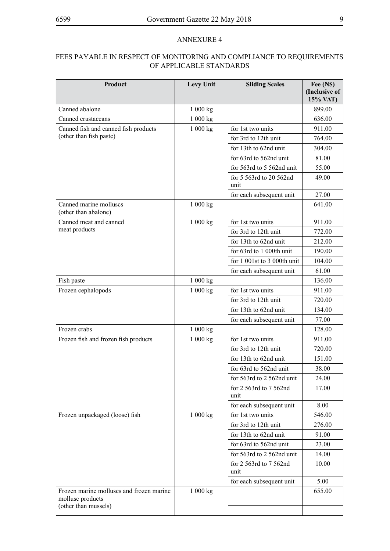# FEES PAYABLE IN RESPECT OF MONITORING AND COMPLIANCE TO REQUIREMENTS OF APPLICABLE STANDARDS

| Product                                                      | Levy Unit | <b>Sliding Scales</b>           | Fee (N\$)<br>(Inclusive of<br>15% VAT) |
|--------------------------------------------------------------|-----------|---------------------------------|----------------------------------------|
| Canned abalone                                               | 1 000 kg  |                                 | 899.00                                 |
| Canned crustaceans                                           | 1 000 kg  |                                 | 636.00                                 |
| Canned fish and canned fish products                         | 1 000 kg  | for 1st two units               | 911.00                                 |
| (other than fish paste)                                      |           | for 3rd to 12th unit            | 764.00                                 |
|                                                              |           | for 13th to 62nd unit           | 304.00                                 |
|                                                              |           | for 63rd to 562nd unit          | 81.00                                  |
|                                                              |           | for 563rd to 5 562nd unit       | 55.00                                  |
|                                                              |           | for 5 563rd to 20 562nd<br>unit | 49.00                                  |
|                                                              |           | for each subsequent unit        | 27.00                                  |
| Canned marine molluscs<br>(other than abalone)               | 1000 kg   |                                 | 641.00                                 |
| Canned meat and canned                                       | 1000 kg   | for 1st two units               | 911.00                                 |
| meat products                                                |           | for 3rd to 12th unit            | 772.00                                 |
|                                                              |           | for 13th to 62nd unit           | 212.00                                 |
|                                                              |           | for 63rd to 1 000th unit        | 190.00                                 |
|                                                              |           | for $1001st$ to $3000th$ unit   | 104.00                                 |
|                                                              |           | for each subsequent unit        | 61.00                                  |
| Fish paste                                                   | 1000 kg   |                                 | 136.00                                 |
| Frozen cephalopods                                           | 1000 kg   | for 1st two units               | 911.00                                 |
|                                                              |           | for 3rd to 12th unit            | 720.00                                 |
|                                                              |           | for 13th to 62nd unit           | 134.00                                 |
|                                                              |           | for each subsequent unit        | 77.00                                  |
| Frozen crabs                                                 | 1 000 kg  |                                 | 128.00                                 |
| Frozen fish and frozen fish products                         | 1000 kg   | for 1st two units               | 911.00                                 |
|                                                              |           | for 3rd to 12th unit            | 720.00                                 |
|                                                              |           | for 13th to 62nd unit           | 151.00                                 |
|                                                              |           | for 63rd to 562nd unit          | 38.00                                  |
|                                                              |           | for 563rd to 2 562nd unit       | 24.00                                  |
|                                                              |           | for 2 563rd to 7 562nd<br>unit  | 17.00                                  |
|                                                              |           | for each subsequent unit        | 8.00                                   |
| Frozen unpackaged (loose) fish                               | 1 000 kg  | for 1st two units               | 546.00                                 |
|                                                              |           | for 3rd to 12th unit            | 276.00                                 |
|                                                              |           | for 13th to 62nd unit           | 91.00                                  |
|                                                              |           | for 63rd to 562nd unit          | 23.00                                  |
|                                                              |           | for 563rd to 2 562nd unit       | 14.00                                  |
|                                                              |           | for 2 563rd to 7 562nd<br>unit  | 10.00                                  |
|                                                              |           | for each subsequent unit        | 5.00                                   |
| Frozen marine molluscs and frozen marine<br>mollusc products | 1 000 kg  |                                 | 655.00                                 |
| (other than mussels)                                         |           |                                 |                                        |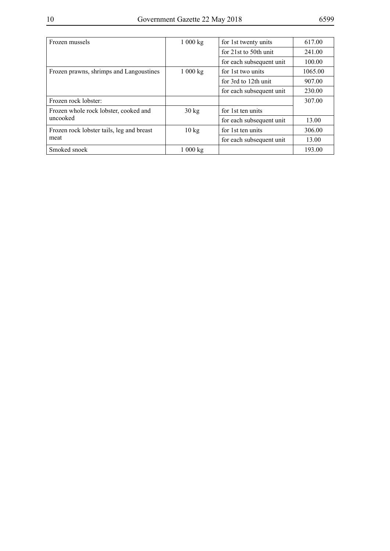| Frozen mussels                            | 1000 kg         | for 1st twenty units      | 617.00  |
|-------------------------------------------|-----------------|---------------------------|---------|
|                                           |                 | for $21st$ to $50th$ unit | 241.00  |
|                                           |                 | for each subsequent unit  | 100.00  |
| Frozen prawns, shrimps and Langoustines   | 1000 kg         | for 1st two units         | 1065.00 |
|                                           |                 | for 3rd to 12th unit      | 907.00  |
|                                           |                 | for each subsequent unit  | 230.00  |
| Frozen rock lobster:                      |                 |                           | 307.00  |
| Frozen whole rock lobster, cooked and     | $30 \text{ kg}$ | for 1st ten units         |         |
| uncooked                                  |                 | for each subsequent unit  | 13.00   |
| Frozen rock lobster tails, leg and breast | $10 \text{ kg}$ | for 1st ten units         | 306.00  |
| meat                                      |                 | for each subsequent unit  | 13.00   |
| Smoked snoek                              | 1000 kg         |                           | 193.00  |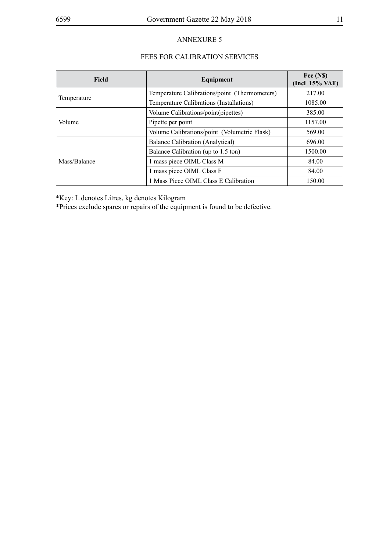## FEES FOR CALIBRATION SERVICES

| <b>Field</b> | Equipment                                     | Fee (N\$)<br>$($ Incl $15\%$ VAT $)$ |
|--------------|-----------------------------------------------|--------------------------------------|
|              | Temperature Calibrations/point (Thermometers) | 217.00                               |
| Temperature  | Temperature Calibrations (Installations)      | 1085.00                              |
|              | Volume Calibrations/point(pipettes)           | 385.00                               |
| Volume       | Pipette per point                             | 1157.00                              |
|              | Volume Calibrations/point-(Volumetric Flask)  | 569.00                               |
|              | Balance Calibration (Analytical)              | 696.00                               |
|              | Balance Calibration (up to 1.5 ton)           | 1500.00                              |
| Mass/Balance | 1 mass piece OIML Class M                     | 84.00                                |
|              | 1 mass piece OIML Class F                     | 84.00                                |
|              | 1 Mass Piece OIML Class E Calibration         | 150.00                               |

\*Key: L denotes Litres, kg denotes Kilogram

\*Prices exclude spares or repairs of the equipment is found to be defective.